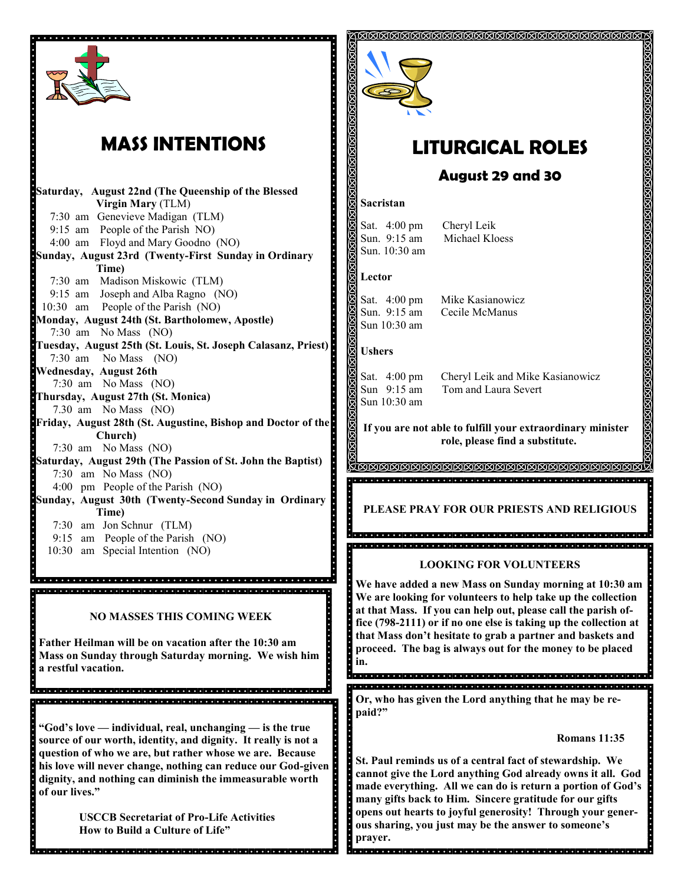

# **MASS INTENTIONS**

**Saturday, August 22nd (The Queenship of the Blessed Virgin Mary** (TLM) 7:30 am Genevieve Madigan (TLM) 9:15 am People of the Parish NO) 4:00 am Floyd and Mary Goodno (NO) **Sunday, August 23rd (Twenty-First Sunday in Ordinary Time)** 7:30 am Madison Miskowic (TLM) 9:15 am Joseph and Alba Ragno (NO) 10:30 am People of the Parish (NO) **Monday, August 24th (St. Bartholomew, Apostle)** 7:30 am No Mass (NO) **Tuesday, August 25th (St. Louis, St. Joseph Calasanz, Priest)**  7:30 am No Mass (NO) **Wednesday, August 26th**  7:30 am No Mass (NO) **Thursday, August 27th (St. Monica)** 7.30 am No Mass (NO) **Friday, August 28th (St. Augustine, Bishop and Doctor of the Church)** 7:30 am No Mass (NO) **Saturday, August 29th (The Passion of St. John the Baptist)** 7:30 am No Mass (NO) 4:00 pm People of the Parish (NO) **Sunday, August 30th (Twenty-Second Sunday in Ordinary Time)**  7:30 am Jon Schnur (TLM) 9:15 am People of the Parish (NO)

10:30 am Special Intention (NO)

**NO MASSES THIS COMING WEEK**

<u>.</u><br>Telefoloj di dicircio i di dicircio i di dicircio i dicircio i di dicircio i dicircio i dicircio i dicircio i di , a ciercio de la ciercio de la ciercio de la ciercio de la ciercio de la ciercio de la ciercio de la ciercio

**Father Heilman will be on vacation after the 10:30 am Mass on Sunday through Saturday morning. We wish him a restful vacation.**

**"God's love — individual, real, unchanging — is the true source of our worth, identity, and dignity. It really is not a question of who we are, but rather whose we are. Because his love will never change, nothing can reduce our God-given dignity, and nothing can diminish the immeasurable worth of our lives."**

> **USCCB Secretariat of Pro-Life Activities How to Build a Culture of Life"**



# **LITURGICAL ROLES**

## **August 29 and 30**

#### **Sacristan**

Sat. 4:00 pm Cheryl Leik Sun. 9:15 am Michael Kloess Sun. 10:30 am

### **Lector**

Sun 10:30 am

Sat. 4:00 pm Mike Kasianowicz Sun. 9:15 am Cecile McManus

### **Ushers**

Sun 10:30 am

Sat. 4:00 pm Cheryl Leik and Mike Kasianowicz Sun 9:15 am Tom and Laura Severt

**If you are not able to fulfill your extraordinary minister role, please find a substitute.** 

**METER EXPERIENCE EN ANGELIA E SE EN ANGELIA E EN ANGELIA E EN ANGELIA E EN EN EN EN EN EUROPE E EN ANGELIA E E** 

**PLEASE PRAY FOR OUR PRIESTS AND RELIGIOUS**

### **LOOKING FOR VOLUNTEERS**

**We have added a new Mass on Sunday morning at 10:30 am We are looking for volunteers to help take up the collection at that Mass. If you can help out, please call the parish office (798-2111) or if no one else is taking up the collection at that Mass don't hesitate to grab a partner and baskets and proceed. The bag is always out for the money to be placed in.** 

#### 

**Or, who has given the Lord anything that he may be repaid?"**

### **Romans 11:35**

**St. Paul reminds us of a central fact of stewardship. We cannot give the Lord anything God already owns it all. God made everything. All we can do is return a portion of God's many gifts back to Him. Sincere gratitude for our gifts opens out hearts to joyful generosity! Through your generous sharing, you just may be the answer to someone's prayer.**